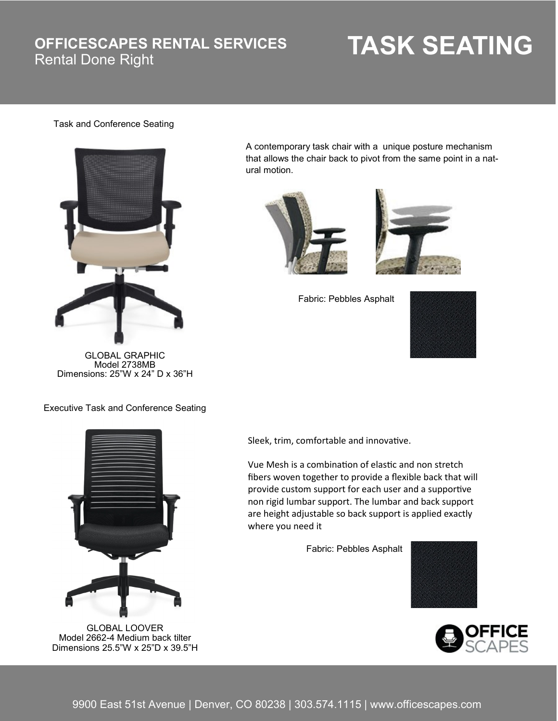### **OFFICESCAPES RENTAL SERVICES**

# **TASK SEATING**

#### Task and Conference Seating



GLOBAL GRAPHIC Model 2738MB Dimensions: 25"W x 24" D x 36"H

A contemporary task chair with a unique posture mechanism that allows the chair back to pivot from the same point in a natural motion.





Fabric: Pebbles Asphalt



Executive Task and Conference Seating



GLOBAL LOOVER Model 2662-4 Medium back tilter Dimensions 25.5"W x 25"D x 39.5"H

Sleek, trim, comfortable and innovative.

Vue Mesh is a combination of elastic and non stretch fibers woven together to provide a flexible back that will provide custom support for each user and a supportive non rigid lumbar support. The lumbar and back support are height adjustable so back support is applied exactly where you need it

Fabric: Pebbles Asphalt